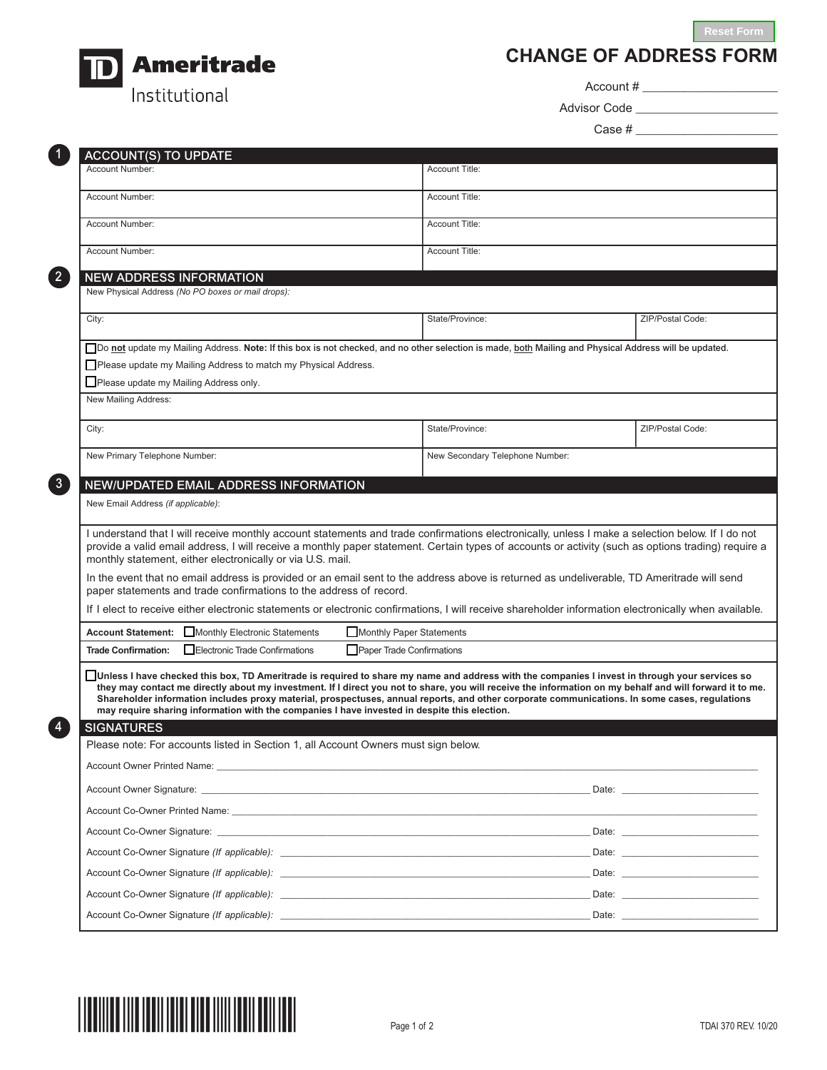**Reset Form**



**CHANGE OF ADDRESS FORM**

Account # \_\_\_\_\_\_\_\_\_\_\_\_\_\_\_\_\_\_\_\_

Advisor Code \_\_\_\_\_\_\_\_\_\_\_\_\_\_\_\_\_\_\_\_\_

Case # \_\_\_\_\_\_\_\_\_\_\_\_\_\_\_\_\_\_\_\_\_

| Account Number:                                   | <b>ACCOUNT(S) TO UPDATE</b>                                                                                                                                                                                                                                                                                                                                                                                                                                                                                                                                 |                                                                                                                                            |                                                                                                                                                                                                                                |
|---------------------------------------------------|-------------------------------------------------------------------------------------------------------------------------------------------------------------------------------------------------------------------------------------------------------------------------------------------------------------------------------------------------------------------------------------------------------------------------------------------------------------------------------------------------------------------------------------------------------------|--------------------------------------------------------------------------------------------------------------------------------------------|--------------------------------------------------------------------------------------------------------------------------------------------------------------------------------------------------------------------------------|
|                                                   |                                                                                                                                                                                                                                                                                                                                                                                                                                                                                                                                                             | <b>Account Title:</b>                                                                                                                      |                                                                                                                                                                                                                                |
| Account Number:                                   |                                                                                                                                                                                                                                                                                                                                                                                                                                                                                                                                                             | <b>Account Title:</b>                                                                                                                      |                                                                                                                                                                                                                                |
| Account Number:                                   |                                                                                                                                                                                                                                                                                                                                                                                                                                                                                                                                                             | <b>Account Title:</b>                                                                                                                      |                                                                                                                                                                                                                                |
| Account Number:                                   |                                                                                                                                                                                                                                                                                                                                                                                                                                                                                                                                                             | <b>Account Title:</b>                                                                                                                      |                                                                                                                                                                                                                                |
| <b>NEW ADDRESS INFORMATION</b>                    |                                                                                                                                                                                                                                                                                                                                                                                                                                                                                                                                                             |                                                                                                                                            |                                                                                                                                                                                                                                |
| New Physical Address (No PO boxes or mail drops): |                                                                                                                                                                                                                                                                                                                                                                                                                                                                                                                                                             |                                                                                                                                            |                                                                                                                                                                                                                                |
| City:                                             |                                                                                                                                                                                                                                                                                                                                                                                                                                                                                                                                                             | State/Province:                                                                                                                            | ZIP/Postal Code:                                                                                                                                                                                                               |
|                                                   | Do not update my Mailing Address. Note: If this box is not checked, and no other selection is made, both Mailing and Physical Address will be updated.                                                                                                                                                                                                                                                                                                                                                                                                      |                                                                                                                                            |                                                                                                                                                                                                                                |
|                                                   | Please update my Mailing Address to match my Physical Address.                                                                                                                                                                                                                                                                                                                                                                                                                                                                                              |                                                                                                                                            |                                                                                                                                                                                                                                |
| Please update my Mailing Address only.            |                                                                                                                                                                                                                                                                                                                                                                                                                                                                                                                                                             |                                                                                                                                            |                                                                                                                                                                                                                                |
| New Mailing Address:                              |                                                                                                                                                                                                                                                                                                                                                                                                                                                                                                                                                             |                                                                                                                                            |                                                                                                                                                                                                                                |
| City:                                             |                                                                                                                                                                                                                                                                                                                                                                                                                                                                                                                                                             | State/Province:                                                                                                                            | ZIP/Postal Code:                                                                                                                                                                                                               |
| New Primary Telephone Number:                     |                                                                                                                                                                                                                                                                                                                                                                                                                                                                                                                                                             | New Secondary Telephone Number:                                                                                                            |                                                                                                                                                                                                                                |
|                                                   |                                                                                                                                                                                                                                                                                                                                                                                                                                                                                                                                                             |                                                                                                                                            |                                                                                                                                                                                                                                |
|                                                   | <b>NEW/UPDATED EMAIL ADDRESS INFORMATION</b>                                                                                                                                                                                                                                                                                                                                                                                                                                                                                                                |                                                                                                                                            |                                                                                                                                                                                                                                |
| New Email Address (if applicable):                |                                                                                                                                                                                                                                                                                                                                                                                                                                                                                                                                                             |                                                                                                                                            |                                                                                                                                                                                                                                |
|                                                   | I understand that I will receive monthly account statements and trade confirmations electronically, unless I make a selection below. If I do not<br>provide a valid email address, I will receive a monthly paper statement. Certain types of accounts or activity (such as options trading) require a<br>monthly statement, either electronically or via U.S. mail.                                                                                                                                                                                        |                                                                                                                                            |                                                                                                                                                                                                                                |
|                                                   |                                                                                                                                                                                                                                                                                                                                                                                                                                                                                                                                                             |                                                                                                                                            |                                                                                                                                                                                                                                |
|                                                   | paper statements and trade confirmations to the address of record.                                                                                                                                                                                                                                                                                                                                                                                                                                                                                          | In the event that no email address is provided or an email sent to the address above is returned as undeliverable, TD Ameritrade will send |                                                                                                                                                                                                                                |
|                                                   | If I elect to receive either electronic statements or electronic confirmations, I will receive shareholder information electronically when available.                                                                                                                                                                                                                                                                                                                                                                                                       |                                                                                                                                            |                                                                                                                                                                                                                                |
| <b>Account Statement:</b>                         | Monthly Electronic Statements<br>Monthly Paper Statements                                                                                                                                                                                                                                                                                                                                                                                                                                                                                                   |                                                                                                                                            |                                                                                                                                                                                                                                |
| <b>Trade Confirmation:</b>                        | Electronic Trade Confirmations<br>Paper Trade Confirmations                                                                                                                                                                                                                                                                                                                                                                                                                                                                                                 |                                                                                                                                            |                                                                                                                                                                                                                                |
|                                                   | Unless I have checked this box, TD Ameritrade is required to share my name and address with the companies I invest in through your services so<br>they may contact me directly about my investment. If I direct you not to share, you will receive the information on my behalf and will forward it to me.<br>Shareholder information includes proxy material, prospectuses, annual reports, and other corporate communications. In some cases, regulations<br>may require sharing information with the companies I have invested in despite this election. |                                                                                                                                            |                                                                                                                                                                                                                                |
| <b>SIGNATURES</b>                                 |                                                                                                                                                                                                                                                                                                                                                                                                                                                                                                                                                             |                                                                                                                                            |                                                                                                                                                                                                                                |
|                                                   | Please note: For accounts listed in Section 1, all Account Owners must sign below.                                                                                                                                                                                                                                                                                                                                                                                                                                                                          |                                                                                                                                            |                                                                                                                                                                                                                                |
|                                                   |                                                                                                                                                                                                                                                                                                                                                                                                                                                                                                                                                             |                                                                                                                                            | Date: the contract of the contract of the contract of the contract of the contract of the contract of the contract of the contract of the contract of the contract of the contract of the contract of the contract of the cont |
|                                                   |                                                                                                                                                                                                                                                                                                                                                                                                                                                                                                                                                             |                                                                                                                                            |                                                                                                                                                                                                                                |
|                                                   | Account Co-Owner Signature: League Communication of the Communication of the Communication of the Communication                                                                                                                                                                                                                                                                                                                                                                                                                                             |                                                                                                                                            | Date: the contract of the contract of the contract of the contract of the contract of the contract of the contract of the contract of the contract of the contract of the contract of the contract of the contract of the cont |
|                                                   |                                                                                                                                                                                                                                                                                                                                                                                                                                                                                                                                                             |                                                                                                                                            | Date: <u>_______________________</u>                                                                                                                                                                                           |
|                                                   |                                                                                                                                                                                                                                                                                                                                                                                                                                                                                                                                                             |                                                                                                                                            |                                                                                                                                                                                                                                |
|                                                   |                                                                                                                                                                                                                                                                                                                                                                                                                                                                                                                                                             |                                                                                                                                            |                                                                                                                                                                                                                                |